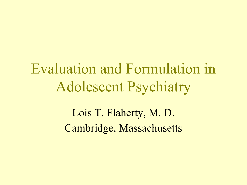Evaluation and Formulation in Adolescent Psychiatry

> Lois T. Flaherty, M. D. Cambridge, Massachusetts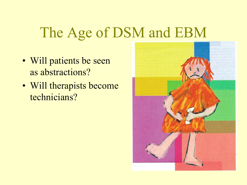### The Age of DSM and EBM

- Will patients be seen as abstractions?
- Will therapists become technicians?

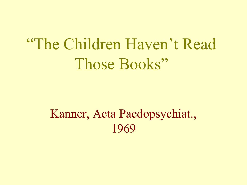## "The Children Haven't Read Those Books"

#### Kanner, Acta Paedopsychiat., 1969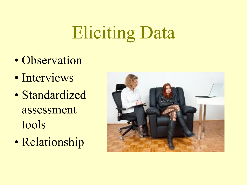## Eliciting Data

- Observation
- Interviews
- Standardized assessment tools
- Relationship

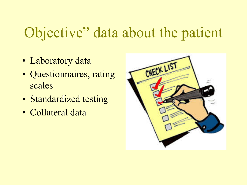## Objective" data about the patient

- Laboratory data
- Questionnaires, rating scales
- Standardized testing
- Collateral data

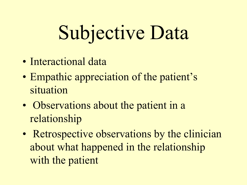# Subjective Data

- Interactional data
- Empathic appreciation of the patient's situation
- Observations about the patient in a relationship
- Retrospective observations by the clinician about what happened in the relationship with the patient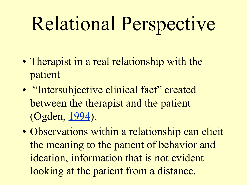# Relational Perspective

- Therapist in a real relationship with the patient
- "Intersubjective clinical fact" created between the therapist and the patient (Ogden, 1994).
- Observations within a relationship can elicit the meaning to the patient of behavior and ideation, information that is not evident looking at the patient from a distance.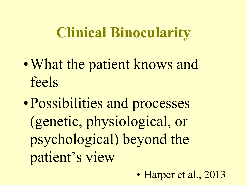### **Clinical Binocularity**

- What the patient knows and feels
- •Possibilities and processes (genetic, physiological, or psychological) beyond the patient's view
	- Harper et al., 2013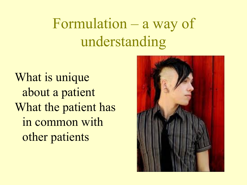## Formulation – a way of understanding

What is unique about a patient What the patient has in common with other patients

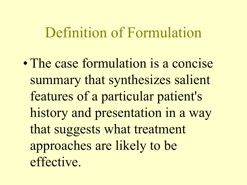#### Definition of Formulation

• The case formulation is a concise summary that synthesizes salient features of a particular patient's history and presentation in a way that suggests what treatment approaches are likely to be effective.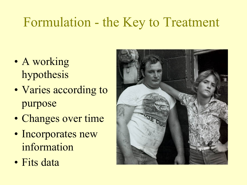#### Formulation - the Key to Treatment

- A working hypothesis
- Varies according to purpose
- Changes over time
- Incorporates new information
- Fits data

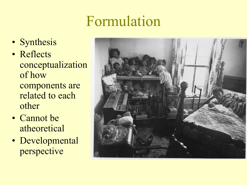### Formulation

- Synthesis
- Reflects conceptualization of how components are related to each other
- Cannot be atheoretical
- Developmental perspective

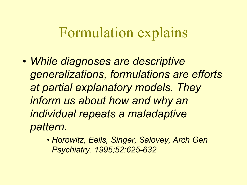#### Formulation explains

- *• While diagnoses are descriptive generalizations, formulations are efforts at partial explanatory models. They inform us about how and why an individual repeats a maladaptive pattern.*
	- *• Horowitz, Eells, Singer, Salovey, Arch Gen Psychiatry. 1995;52:625-632*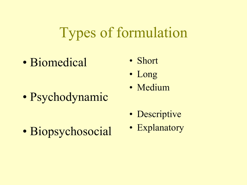### Types of formulation

• Biomedical

- Short
- Long
- Psychodynamic
- Medium
- Descriptive
- Biopsychosocial
- Explanatory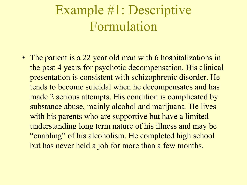#### Example #1: Descriptive Formulation

• The patient is a 22 year old man with 6 hospitalizations in the past 4 years for psychotic decompensation. His clinical presentation is consistent with schizophrenic disorder. He tends to become suicidal when he decompensates and has made 2 serious attempts. His condition is complicated by substance abuse, mainly alcohol and marijuana. He lives with his parents who are supportive but have a limited understanding long term nature of his illness and may be "enabling" of his alcoholism. He completed high school but has never held a job for more than a few months.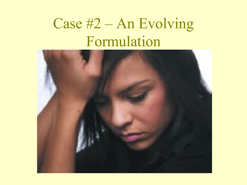## Case #2 – An Evolving Formulation

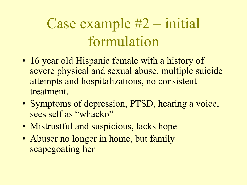## Case example #2 – initial formulation

- 16 year old Hispanic female with a history of severe physical and sexual abuse, multiple suicide attempts and hospitalizations, no consistent treatment.
- Symptoms of depression, PTSD, hearing a voice, sees self as "whacko"
- Mistrustful and suspicious, lacks hope
- Abuser no longer in home, but family scapegoating her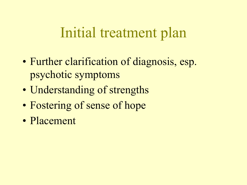#### Initial treatment plan

- Further clarification of diagnosis, esp. psychotic symptoms
- Understanding of strengths
- Fostering of sense of hope
- Placement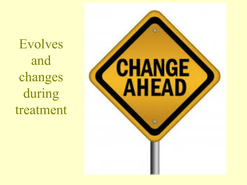Evolves and changes during treatment

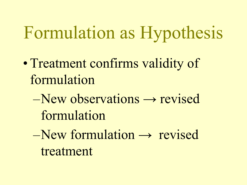## Formulation as Hypothesis

- Treatment confirms validity of formulation
	- $–New observations \rightarrow revised$ formulation
	- $–New formulation \rightarrow revised$ treatment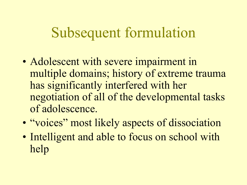#### Subsequent formulation

- Adolescent with severe impairment in multiple domains; history of extreme trauma has significantly interfered with her negotiation of all of the developmental tasks of adolescence.
- "voices" most likely aspects of dissociation
- Intelligent and able to focus on school with help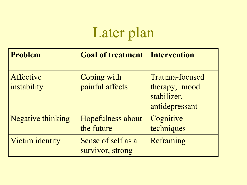## Later plan

| <b>Problem</b>           | <b>Goal of treatment</b>               | <b>Intervention</b>                                              |
|--------------------------|----------------------------------------|------------------------------------------------------------------|
| Affective<br>instability | Coping with<br>painful affects         | Trauma-focused<br>therapy, mood<br>stabilizer,<br>antidepressant |
| <b>Negative thinking</b> | Hopefulness about<br>the future        | Cognitive<br>techniques                                          |
| Victim identity          | Sense of self as a<br>survivor, strong | Reframing                                                        |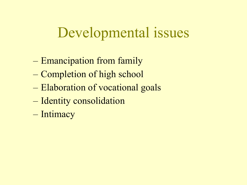#### Developmental issues

- Emancipation from family
- Completion of high school
- Elaboration of vocational goals
- Identity consolidation
- Intimacy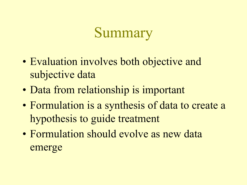### Summary

- Evaluation involves both objective and subjective data
- Data from relationship is important
- Formulation is a synthesis of data to create a hypothesis to guide treatment
- Formulation should evolve as new data emerge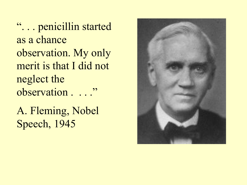"... penicillin started as a chance observation. My only merit is that I did not neglect the observation . . . . "

A. Fleming, Nobel Speech, 1945